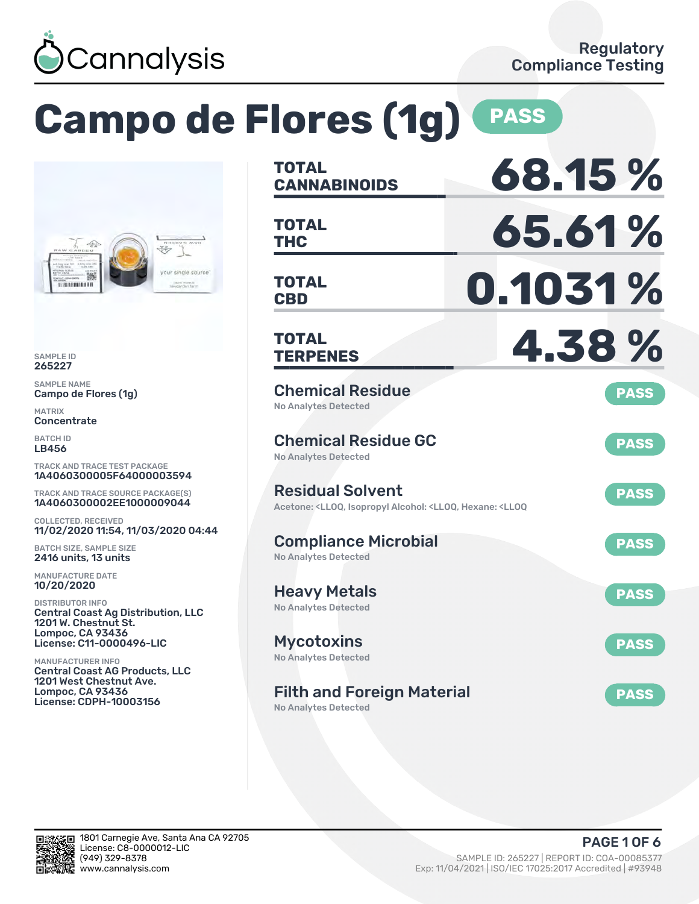

### **Campo de Flores (1g) PASS CANNABINOIDS 68.15 % TOTAL THC 65.61 % TOTAL** single source **CBD 0.1031 % TOTAL TERPENES 4.38 % TOTAL** Chemical Residue Campo de Flores (1g) **PASS** No Analytes Detected Chemical Residue GC **PASS** No Analytes Detected TRACK AND TRACE TEST PACKAGE 1A4060300005F64000003594 Residual Solvent TRACK AND TRACE SOURCE PACKAGE(S) **PASS** 1A4060300002EE1000009044 Acetone: <LLOQ, Isopropyl Alcohol: <LLOQ, Hexane: <LLOQ 11/02/2020 11:54, 11/03/2020 04:44 Compliance Microbial **PASS** BATCH SIZE, SAMPLE SIZE No Analytes Detected Heavy Metals **PASS** No Analytes Detected Central Coast Ag Distribution, LLC 1201 W. Chestnut St. License: C11-0000496-LIC Mycotoxins **PASS** No Analytes Detected Central Coast AG Products, LLC 1201 West Chestnut Ave. Filth and Foreign Material **PASS** License: CDPH-10003156

No Analytes Detected



SAMPLE ID 265227 SAMPLE NAME

............

MATRIX **Concentrate** BATCH ID LB456

COLLECTED, RECEIVED

2416 units, 13 units MANUFACTURE DATE 10/20/2020 DISTRIBUTOR INFO

Lompoc, CA 93436

MANUFACTURER INFO

Lompoc, CA 93436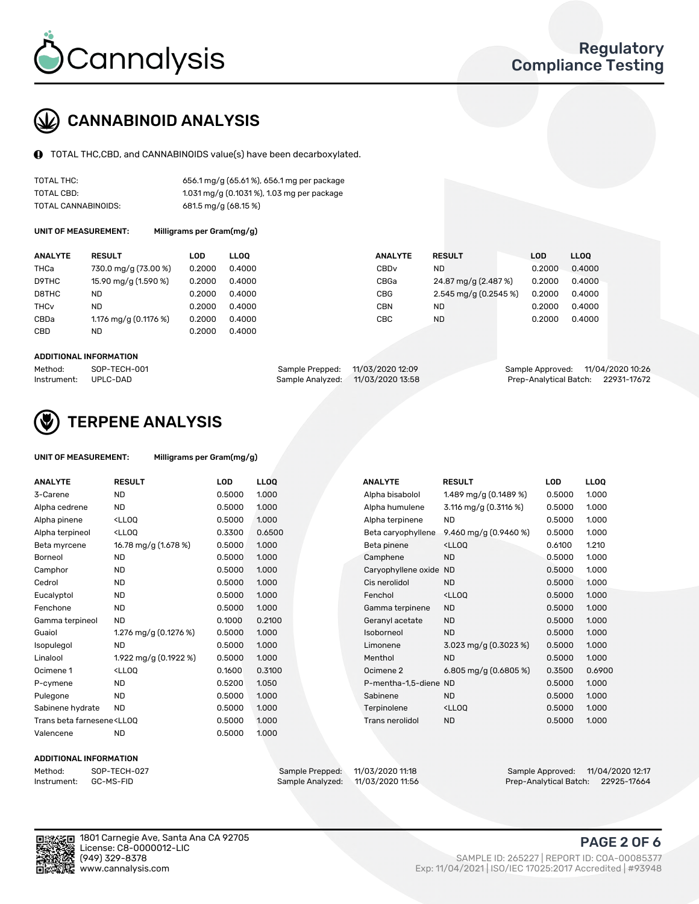

# CANNABINOID ANALYSIS

TOTAL THC,CBD, and CANNABINOIDS value(s) have been decarboxylated.

| TOTAL THC:          | 656.1 mg/g (65.61%), 656.1 mg per package  |
|---------------------|--------------------------------------------|
| TOTAL CBD:          | 1.031 mg/g (0.1031 %), 1.03 mg per package |
| TOTAL CANNABINOIDS: | 681.5 mg/g (68.15 %)                       |

UNIT OF MEASUREMENT: Milligrams per Gram(mg/g)

| <b>ANALYTE</b>         | <b>RESULT</b>          | LOD    | <b>LLOO</b> | <b>ANALYTE</b>   | <b>RESULT</b>         | <b>LOD</b> | LL <sub>00</sub> |
|------------------------|------------------------|--------|-------------|------------------|-----------------------|------------|------------------|
| THCa                   | 730.0 mg/g (73.00 %)   | 0.2000 | 0.4000      | CBD <sub>v</sub> | <b>ND</b>             | 0.2000     | 0.4000           |
| D9THC                  | 15.90 mg/g (1.590 %)   | 0.2000 | 0.4000      | CBGa             | 24.87 mg/g (2.487 %)  | 0.2000     | 0.4000           |
| D8THC                  | ND                     | 0.2000 | 0.4000      | CBG              | 2.545 mg/g (0.2545 %) | 0.2000     | 0.4000           |
| <b>THC<sub>V</sub></b> | ND                     | 0.2000 | 0.4000      | CBN              | ND                    | 0.2000     | 0.4000           |
| CBDa                   | 1.176 mg/g $(0.1176%)$ | 0.2000 | 0.4000      | CBC.             | <b>ND</b>             | 0.2000     | 0.4000           |
| CBD                    | ND                     | 0.2000 | 0.4000      |                  |                       |            |                  |
|                        |                        |        |             |                  |                       |            |                  |

#### ADDITIONAL INFORMATION

| Method:              | SOP-TECH-001 | Sample Prepped: 11/03/2020 12:09  | Sample Approved: 11/04/2020 10:26  |  |
|----------------------|--------------|-----------------------------------|------------------------------------|--|
| Instrument: UPLC-DAD |              | Sample Analyzed: 11/03/2020 13:58 | Prep-Analytical Batch: 22931-17672 |  |



## TERPENE ANALYSIS

| UNIT OF MEASUREMENT: | Milligrams per Gram(mg/g) |
|----------------------|---------------------------|
|----------------------|---------------------------|

| <b>ANALYTE</b>                                                                                                                                          | <b>RESULT</b>                                                                                                                             | <b>LOD</b> | <b>LLOQ</b> | <b>ANALYTE</b>         | <b>RESULT</b>                                      | LOD    | <b>LLOQ</b> |
|---------------------------------------------------------------------------------------------------------------------------------------------------------|-------------------------------------------------------------------------------------------------------------------------------------------|------------|-------------|------------------------|----------------------------------------------------|--------|-------------|
| 3-Carene                                                                                                                                                | <b>ND</b>                                                                                                                                 | 0.5000     | 1.000       | Alpha bisabolol        | 1.489 mg/g (0.1489 %)                              | 0.5000 | 1.000       |
| Alpha cedrene                                                                                                                                           | <b>ND</b>                                                                                                                                 | 0.5000     | 1.000       | Alpha humulene         | 3.116 mg/g $(0.3116%)$                             | 0.5000 | 1.000       |
| Alpha pinene                                                                                                                                            | <ll0q< td=""><td>0.5000</td><td>1.000</td><td>Alpha terpinene</td><td>ND</td><td>0.5000</td><td>1.000</td></ll0q<>                        | 0.5000     | 1.000       | Alpha terpinene        | ND                                                 | 0.5000 | 1.000       |
| Alpha terpineol                                                                                                                                         | <ll0q< td=""><td>0.3300</td><td>0.6500</td><td>Beta caryophyllene</td><td>9.460 mg/g (0.9460 %)</td><td>0.5000</td><td>1.000</td></ll0q<> | 0.3300     | 0.6500      | Beta caryophyllene     | 9.460 mg/g (0.9460 %)                              | 0.5000 | 1.000       |
| Beta myrcene                                                                                                                                            | 16.78 mg/g (1.678 %)                                                                                                                      | 0.5000     | 1.000       | Beta pinene            | <lloq< td=""><td>0.6100</td><td>1.210</td></lloq<> | 0.6100 | 1.210       |
| Borneol                                                                                                                                                 | <b>ND</b>                                                                                                                                 | 0.5000     | 1.000       | Camphene               | <b>ND</b>                                          | 0.5000 | 1.000       |
| Camphor                                                                                                                                                 | <b>ND</b>                                                                                                                                 | 0.5000     | 1.000       | Caryophyllene oxide ND |                                                    | 0.5000 | 1.000       |
| Cedrol                                                                                                                                                  | <b>ND</b>                                                                                                                                 | 0.5000     | 1.000       | Cis nerolidol          | <b>ND</b>                                          | 0.5000 | 1.000       |
| Eucalyptol                                                                                                                                              | <b>ND</b>                                                                                                                                 | 0.5000     | 1.000       | Fenchol                | <lloq< td=""><td>0.5000</td><td>1.000</td></lloq<> | 0.5000 | 1.000       |
| Fenchone                                                                                                                                                | <b>ND</b>                                                                                                                                 | 0.5000     | 1.000       | Gamma terpinene        | <b>ND</b>                                          | 0.5000 | 1.000       |
| Gamma terpineol                                                                                                                                         | <b>ND</b>                                                                                                                                 | 0.1000     | 0.2100      | Geranyl acetate        | <b>ND</b>                                          | 0.5000 | 1.000       |
| Guaiol                                                                                                                                                  | 1.276 mg/g (0.1276 %)                                                                                                                     | 0.5000     | 1.000       | Isoborneol             | <b>ND</b>                                          | 0.5000 | 1.000       |
| Isopulegol                                                                                                                                              | <b>ND</b>                                                                                                                                 | 0.5000     | 1.000       | Limonene               | 3.023 mg/g (0.3023 %)                              | 0.5000 | 1.000       |
| Linalool                                                                                                                                                | 1.922 mg/g (0.1922 %)                                                                                                                     | 0.5000     | 1.000       | Menthol                | <b>ND</b>                                          | 0.5000 | 1.000       |
| Ocimene 1                                                                                                                                               | <ll0q< td=""><td>0.1600</td><td>0.3100</td><td>Ocimene 2</td><td>6.805 mg/g (0.6805 %)</td><td>0.3500</td><td>0.6900</td></ll0q<>         | 0.1600     | 0.3100      | Ocimene 2              | 6.805 mg/g (0.6805 %)                              | 0.3500 | 0.6900      |
| P-cymene                                                                                                                                                | <b>ND</b>                                                                                                                                 | 0.5200     | 1.050       | P-mentha-1,5-diene ND  |                                                    | 0.5000 | 1.000       |
| Pulegone                                                                                                                                                | <b>ND</b>                                                                                                                                 | 0.5000     | 1.000       | Sabinene               | <b>ND</b>                                          | 0.5000 | 1.000       |
| Sabinene hydrate                                                                                                                                        | <b>ND</b>                                                                                                                                 | 0.5000     | 1.000       | Terpinolene            | <ll0q< td=""><td>0.5000</td><td>1.000</td></ll0q<> | 0.5000 | 1.000       |
| Trans beta farnesene <ll00< td=""><td></td><td>0.5000</td><td>1.000</td><td>Trans nerolidol</td><td><b>ND</b></td><td>0.5000</td><td>1.000</td></ll00<> |                                                                                                                                           | 0.5000     | 1.000       | Trans nerolidol        | <b>ND</b>                                          | 0.5000 | 1.000       |
| Valencene                                                                                                                                               | <b>ND</b>                                                                                                                                 | 0.5000     | 1.000       |                        |                                                    |        |             |

#### ADDITIONAL INFORMATION

Method: SOP-TECH-027 Sample Prepped: 11/03/2020 11:18 Sample Approved: 11/04/2020 12:17 Prep-Analytical Batch: 22925-17664



1801 Carnegie Ave, Santa Ana CA 92705 License: C8-0000012-LIC<br>(949) 329-8378

### PAGE 2 OF 6

(949) 329-8378 SAMPLE ID: 265227 | REPORT ID: COA-00085377 Exp: 11/04/2021 | ISO/IEC 17025:2017 Accredited | #93948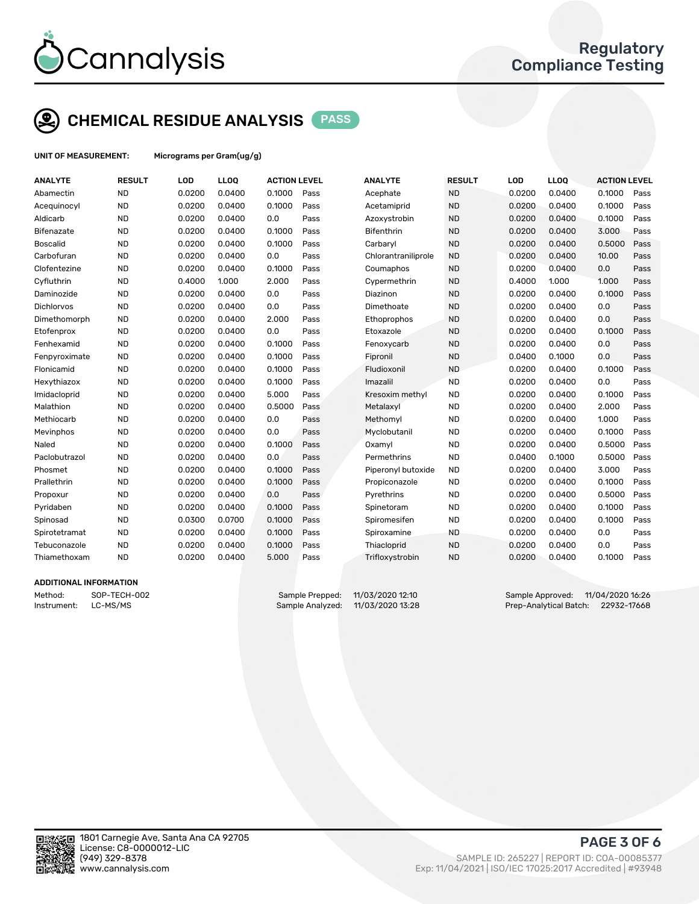

# CHEMICAL RESIDUE ANALYSIS PASS

UNIT OF MEASUREMENT: Micrograms per Gram(ug/g)

| <b>ANALYTE</b>    | <b>RESULT</b> | LOD    | <b>LLOQ</b> | <b>ACTION LEVEL</b> |      | <b>ANALYTE</b>      | <b>RESULT</b> | LOD    | <b>LLOQ</b> | <b>ACTION LEVEL</b> |      |
|-------------------|---------------|--------|-------------|---------------------|------|---------------------|---------------|--------|-------------|---------------------|------|
| Abamectin         | <b>ND</b>     | 0.0200 | 0.0400      | 0.1000              | Pass | Acephate            | <b>ND</b>     | 0.0200 | 0.0400      | 0.1000              | Pass |
| Acequinocyl       | <b>ND</b>     | 0.0200 | 0.0400      | 0.1000              | Pass | Acetamiprid         | <b>ND</b>     | 0.0200 | 0.0400      | 0.1000              | Pass |
| Aldicarb          | <b>ND</b>     | 0.0200 | 0.0400      | 0.0                 | Pass | Azoxystrobin        | <b>ND</b>     | 0.0200 | 0.0400      | 0.1000              | Pass |
| Bifenazate        | <b>ND</b>     | 0.0200 | 0.0400      | 0.1000              | Pass | <b>Bifenthrin</b>   | <b>ND</b>     | 0.0200 | 0.0400      | 3.000               | Pass |
| <b>Boscalid</b>   | <b>ND</b>     | 0.0200 | 0.0400      | 0.1000              | Pass | Carbaryl            | <b>ND</b>     | 0.0200 | 0.0400      | 0.5000              | Pass |
| Carbofuran        | <b>ND</b>     | 0.0200 | 0.0400      | 0.0                 | Pass | Chlorantraniliprole | <b>ND</b>     | 0.0200 | 0.0400      | 10.00               | Pass |
| Clofentezine      | <b>ND</b>     | 0.0200 | 0.0400      | 0.1000              | Pass | Coumaphos           | <b>ND</b>     | 0.0200 | 0.0400      | 0.0                 | Pass |
| Cyfluthrin        | <b>ND</b>     | 0.4000 | 1.000       | 2.000               | Pass | Cypermethrin        | <b>ND</b>     | 0.4000 | 1.000       | 1.000               | Pass |
| Daminozide        | <b>ND</b>     | 0.0200 | 0.0400      | 0.0                 | Pass | Diazinon            | <b>ND</b>     | 0.0200 | 0.0400      | 0.1000              | Pass |
| <b>Dichlorvos</b> | <b>ND</b>     | 0.0200 | 0.0400      | 0.0                 | Pass | Dimethoate          | <b>ND</b>     | 0.0200 | 0.0400      | 0.0                 | Pass |
| Dimethomorph      | <b>ND</b>     | 0.0200 | 0.0400      | 2.000               | Pass | Ethoprophos         | <b>ND</b>     | 0.0200 | 0.0400      | 0.0                 | Pass |
| Etofenprox        | <b>ND</b>     | 0.0200 | 0.0400      | 0.0                 | Pass | Etoxazole           | <b>ND</b>     | 0.0200 | 0.0400      | 0.1000              | Pass |
| Fenhexamid        | <b>ND</b>     | 0.0200 | 0.0400      | 0.1000              | Pass | Fenoxycarb          | <b>ND</b>     | 0.0200 | 0.0400      | 0.0                 | Pass |
| Fenpyroximate     | <b>ND</b>     | 0.0200 | 0.0400      | 0.1000              | Pass | Fipronil            | <b>ND</b>     | 0.0400 | 0.1000      | 0.0                 | Pass |
| Flonicamid        | <b>ND</b>     | 0.0200 | 0.0400      | 0.1000              | Pass | Fludioxonil         | <b>ND</b>     | 0.0200 | 0.0400      | 0.1000              | Pass |
| Hexythiazox       | <b>ND</b>     | 0.0200 | 0.0400      | 0.1000              | Pass | Imazalil            | <b>ND</b>     | 0.0200 | 0.0400      | 0.0                 | Pass |
| Imidacloprid      | <b>ND</b>     | 0.0200 | 0.0400      | 5.000               | Pass | Kresoxim methyl     | <b>ND</b>     | 0.0200 | 0.0400      | 0.1000              | Pass |
| Malathion         | <b>ND</b>     | 0.0200 | 0.0400      | 0.5000              | Pass | Metalaxyl           | <b>ND</b>     | 0.0200 | 0.0400      | 2.000               | Pass |
| Methiocarb        | <b>ND</b>     | 0.0200 | 0.0400      | 0.0                 | Pass | Methomyl            | <b>ND</b>     | 0.0200 | 0.0400      | 1.000               | Pass |
| Mevinphos         | <b>ND</b>     | 0.0200 | 0.0400      | 0.0                 | Pass | Myclobutanil        | <b>ND</b>     | 0.0200 | 0.0400      | 0.1000              | Pass |
| Naled             | <b>ND</b>     | 0.0200 | 0.0400      | 0.1000              | Pass | Oxamyl              | <b>ND</b>     | 0.0200 | 0.0400      | 0.5000              | Pass |
| Paclobutrazol     | <b>ND</b>     | 0.0200 | 0.0400      | 0.0                 | Pass | Permethrins         | <b>ND</b>     | 0.0400 | 0.1000      | 0.5000              | Pass |
| Phosmet           | <b>ND</b>     | 0.0200 | 0.0400      | 0.1000              | Pass | Piperonyl butoxide  | <b>ND</b>     | 0.0200 | 0.0400      | 3.000               | Pass |
| Prallethrin       | <b>ND</b>     | 0.0200 | 0.0400      | 0.1000              | Pass | Propiconazole       | <b>ND</b>     | 0.0200 | 0.0400      | 0.1000              | Pass |
| Propoxur          | <b>ND</b>     | 0.0200 | 0.0400      | 0.0                 | Pass | Pyrethrins          | <b>ND</b>     | 0.0200 | 0.0400      | 0.5000              | Pass |
| Pyridaben         | <b>ND</b>     | 0.0200 | 0.0400      | 0.1000              | Pass | Spinetoram          | <b>ND</b>     | 0.0200 | 0.0400      | 0.1000              | Pass |
| Spinosad          | <b>ND</b>     | 0.0300 | 0.0700      | 0.1000              | Pass | Spiromesifen        | <b>ND</b>     | 0.0200 | 0.0400      | 0.1000              | Pass |
| Spirotetramat     | <b>ND</b>     | 0.0200 | 0.0400      | 0.1000              | Pass | Spiroxamine         | <b>ND</b>     | 0.0200 | 0.0400      | 0.0                 | Pass |
| Tebuconazole      | <b>ND</b>     | 0.0200 | 0.0400      | 0.1000              | Pass | Thiacloprid         | <b>ND</b>     | 0.0200 | 0.0400      | 0.0                 | Pass |
| Thiamethoxam      | <b>ND</b>     | 0.0200 | 0.0400      | 5.000               | Pass | Trifloxystrobin     | <b>ND</b>     | 0.0200 | 0.0400      | 0.1000              | Pass |
|                   |               |        |             |                     |      |                     |               |        |             |                     |      |

#### ADDITIONAL INFORMATION

Method: SOP-TECH-002 Sample Prepped: 11/03/2020 12:10 Sample Approved: 11/04/2020 16:26 Instrument: LC-MS/MS Sample Analyzed: 11/03/2020 13:28 Prep-Analytical Batch: 22932-17668



PAGE 3 OF 6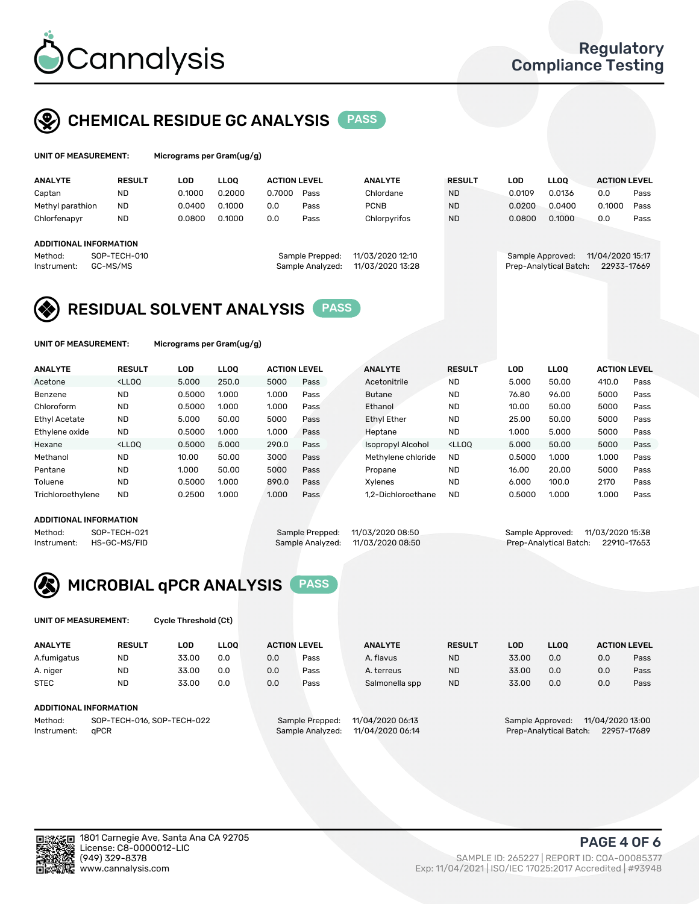

# CHEMICAL RESIDUE GC ANALYSIS PASS

| UNIT OF MEASUREMENT: | Microgra |
|----------------------|----------|
|                      |          |

ams per Gram(ug/g)

| <b>ANALYTE</b>                                   | <b>RESULT</b>            | LOD    | <b>LLOO</b> | <b>ACTION LEVEL</b> |                                     | <b>ANALYTE</b>                       | <b>RESULT</b> | LOD              | <b>LLOO</b>            | <b>ACTION LEVEL</b>             |      |
|--------------------------------------------------|--------------------------|--------|-------------|---------------------|-------------------------------------|--------------------------------------|---------------|------------------|------------------------|---------------------------------|------|
| Captan                                           | <b>ND</b>                | 0.1000 | 0.2000      | 0.7000              | Pass                                | Chlordane                            | <b>ND</b>     | 0.0109           | 0.0136                 | 0.0                             | Pass |
| Methyl parathion                                 | <b>ND</b>                | 0.0400 | 0.1000      | 0.0                 | Pass                                | <b>PCNB</b>                          | <b>ND</b>     | 0.0200           | 0.0400                 | 0.1000                          | Pass |
| Chlorfenapyr                                     | <b>ND</b>                | 0.0800 | 0.1000      | 0.0                 | Pass                                | Chlorpyrifos                         | <b>ND</b>     | 0.0800           | 0.1000                 | 0.0                             | Pass |
| ADDITIONAL INFORMATION<br>Method:<br>Instrument: | SOP-TECH-010<br>GC-MS/MS |        |             |                     | Sample Prepped:<br>Sample Analyzed: | 11/03/2020 12:10<br>11/03/2020 13:28 |               | Sample Approved: | Prep-Analytical Batch: | 11/04/2020 15:17<br>22933-17669 |      |

### RESIDUAL SOLVENT ANALYSIS PASS

UNIT OF MEASUREMENT: Micrograms per Gram(ug/g)

| <b>ANALYTE</b>       | <b>RESULT</b>                                                                                                                                                                                      | LOD    | <b>LLOO</b> | <b>ACTION LEVEL</b> |      | <b>ANALYTE</b>           | <b>RESULT</b>                                                               | <b>LOD</b> | <b>LLOO</b> | <b>ACTION LEVEL</b> |      |
|----------------------|----------------------------------------------------------------------------------------------------------------------------------------------------------------------------------------------------|--------|-------------|---------------------|------|--------------------------|-----------------------------------------------------------------------------|------------|-------------|---------------------|------|
| Acetone              | <lloo< th=""><th>5.000</th><th>250.0</th><th>5000</th><th>Pass</th><th>Acetonitrile</th><th><b>ND</b></th><th>5.000</th><th>50.00</th><th>410.0</th><th>Pass</th></lloo<>                          | 5.000  | 250.0       | 5000                | Pass | Acetonitrile             | <b>ND</b>                                                                   | 5.000      | 50.00       | 410.0               | Pass |
| Benzene              | <b>ND</b>                                                                                                                                                                                          | 0.5000 | 1.000       | 1.000               | Pass | <b>Butane</b>            | <b>ND</b>                                                                   | 76.80      | 96.00       | 5000                | Pass |
| Chloroform           | <b>ND</b>                                                                                                                                                                                          | 0.5000 | 1.000       | 1.000               | Pass | Ethanol                  | <b>ND</b>                                                                   | 10.00      | 50.00       | 5000                | Pass |
| <b>Ethyl Acetate</b> | <b>ND</b>                                                                                                                                                                                          | 5.000  | 50.00       | 5000                | Pass | <b>Ethyl Ether</b>       | <b>ND</b>                                                                   | 25.00      | 50.00       | 5000                | Pass |
| Ethylene oxide       | <b>ND</b>                                                                                                                                                                                          | 0.5000 | 1.000       | 1.000               | Pass | Heptane                  | <b>ND</b>                                                                   | 1.000      | 5.000       | 5000                | Pass |
| Hexane               | <lloo< td=""><td>0.5000</td><td>5.000</td><td>290.0</td><td>Pass</td><td><b>Isopropyl Alcohol</b></td><td><lloq< td=""><td>5.000</td><td>50.00</td><td>5000</td><td>Pass</td></lloq<></td></lloo<> | 0.5000 | 5.000       | 290.0               | Pass | <b>Isopropyl Alcohol</b> | <lloq< td=""><td>5.000</td><td>50.00</td><td>5000</td><td>Pass</td></lloq<> | 5.000      | 50.00       | 5000                | Pass |
| Methanol             | <b>ND</b>                                                                                                                                                                                          | 10.00  | 50.00       | 3000                | Pass | Methylene chloride       | <b>ND</b>                                                                   | 0.5000     | 1.000       | 1.000               | Pass |
| Pentane              | <b>ND</b>                                                                                                                                                                                          | 1.000  | 50.00       | 5000                | Pass | Propane                  | <b>ND</b>                                                                   | 16.00      | 20.00       | 5000                | Pass |
| Toluene              | <b>ND</b>                                                                                                                                                                                          | 0.5000 | 1.000       | 890.0               | Pass | Xylenes                  | <b>ND</b>                                                                   | 6.000      | 100.0       | 2170                | Pass |
| Trichloroethylene    | <b>ND</b>                                                                                                                                                                                          | 0.2500 | 1.000       | 1.000               | Pass | 1.2-Dichloroethane       | <b>ND</b>                                                                   | 0.5000     | 1.000       | 1.000               | Pass |

#### ADDITIONAL INFORMATION

Method: SOP-TECH-021 Sample Prepped: 11/03/2020 08:50 Sample Approved: 11/03/2020 15:38<br>Sample Analyzed: 11/03/2020 08:50 Prep-Analytical Batch: 22910-17653

Prep-Analytical Batch: 22910-17653



UNIT OF MEASUREMENT: Cycle Threshold (Ct)

| <b>ANALYTE</b> | <b>RESULT</b>              | LOD   | <b>LLOO</b> |     | <b>ACTION LEVEL</b> | <b>ANALYTE</b>   | <b>RESULT</b> | LOD   | <b>LLOO</b>            |                  | <b>ACTION LEVEL</b> |
|----------------|----------------------------|-------|-------------|-----|---------------------|------------------|---------------|-------|------------------------|------------------|---------------------|
| A.fumigatus    | <b>ND</b>                  | 33.00 | 0.0         | 0.0 | Pass                | A. flavus        | <b>ND</b>     | 33.00 | 0.0                    | 0.0              | Pass                |
| A. niger       | <b>ND</b>                  | 33.00 | 0.0         | 0.0 | Pass                | A. terreus       | <b>ND</b>     | 33.00 | 0.0                    | 0.0              | Pass                |
| <b>STEC</b>    | <b>ND</b>                  | 33.00 | 0.0         | 0.0 | Pass                | Salmonella spp   | <b>ND</b>     | 33.00 | 0.0                    | 0.0              | Pass                |
|                | ADDITIONAL INFORMATION     |       |             |     |                     |                  |               |       |                        |                  |                     |
| Method:        | SOP-TECH-016, SOP-TECH-022 |       |             |     | Sample Prepped:     | 11/04/2020 06:13 |               |       | Sample Approved:       | 11/04/2020 13:00 |                     |
| Instrument:    | aPCR                       |       |             |     | Sample Analyzed:    | 11/04/2020 06:14 |               |       | Prep-Analytical Batch: |                  | 22957-17689         |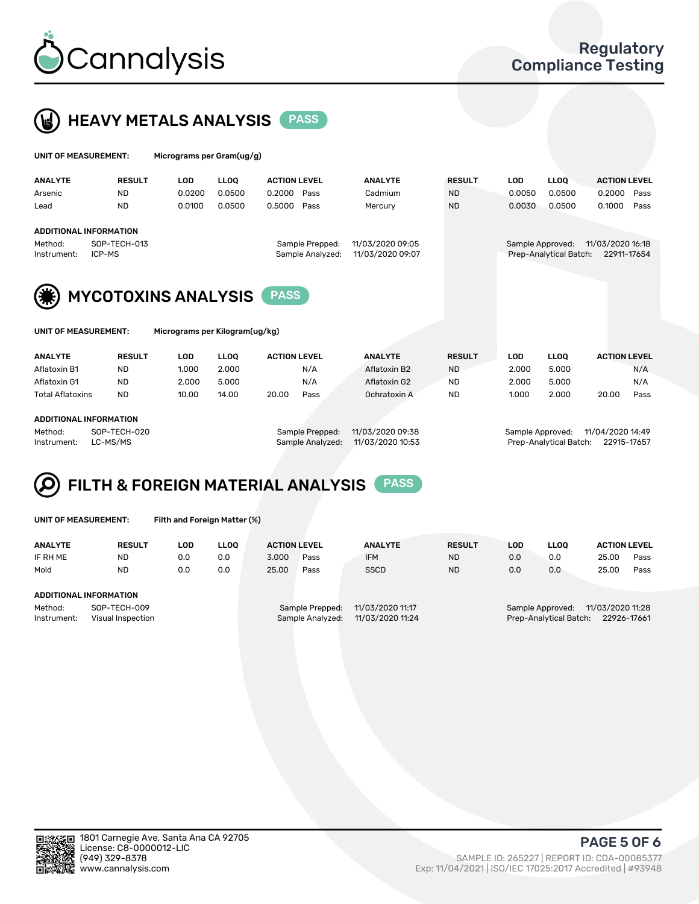



| UNIT OF MEASUREMENT: |               | Micrograms per Gram(ug/g) |             |                     |                |               |     |      |                     |
|----------------------|---------------|---------------------------|-------------|---------------------|----------------|---------------|-----|------|---------------------|
| <b>ANALYTE</b>       | <b>RESULT</b> | LOD                       | <b>LLOO</b> | <b>ACTION LEVEL</b> | <b>ANALYTE</b> | <b>RESULT</b> | LOD | LOO. | <b>ACTION LEVEL</b> |

| Arsenic                | <b>ND</b>              | 0.0200 | 0.0500 | 0.2000 | Pass                                | Cadmium                              | <b>ND</b> | 0.0050 | 0.0500                                     | 0.2000                          | Pass |
|------------------------|------------------------|--------|--------|--------|-------------------------------------|--------------------------------------|-----------|--------|--------------------------------------------|---------------------------------|------|
| Lead                   | <b>ND</b>              | 0.0100 | 0.0500 | 0.5000 | Pass                                | Mercury                              | <b>ND</b> | 0.0030 | 0.0500                                     | 0.1000                          | Pass |
| ADDITIONAL INFORMATION |                        |        |        |        |                                     |                                      |           |        |                                            |                                 |      |
| Method:<br>Instrument: | SOP-TECH-013<br>ICP-MS |        |        |        | Sample Prepped:<br>Sample Analyzed: | 11/03/2020 09:05<br>11/03/2020 09:07 |           |        | Sample Approved:<br>Prep-Analytical Batch: | 11/03/2020 16:18<br>22911-17654 |      |



|  | UNII UF MEASUREMENI: |  |  |
|--|----------------------|--|--|
|  |                      |  |  |
|  |                      |  |  |

Micrograms per Kilogram(ug/kg)

| <b>ANALYTE</b>          | <b>RESULT</b> | LOD   | <b>LLOO</b> | <b>ACTION LEVEL</b> |      | <b>ANALYTE</b> | <b>RESULT</b> | LOD   | <b>LLOO</b> | <b>ACTION LEVEL</b> |      |
|-------------------------|---------------|-------|-------------|---------------------|------|----------------|---------------|-------|-------------|---------------------|------|
| Aflatoxin B1            | <b>ND</b>     | 1.000 | 2.000       |                     | N/A  | Aflatoxin B2   | <b>ND</b>     | 2.000 | 5.000       |                     | N/A  |
| Aflatoxin G1            | <b>ND</b>     | 2.000 | 5.000       |                     | N/A  | Aflatoxin G2   | <b>ND</b>     | 2.000 | 5.000       |                     | N/A  |
| <b>Total Aflatoxins</b> | <b>ND</b>     | 10.00 | 14.00       | 20.00               | Pass | Ochratoxin A   | <b>ND</b>     | 1.000 | 2.000       | 20.00               | Pass |
|                         |               |       |             |                     |      |                |               |       |             |                     |      |

### ADDITIONAL INFORMATION

Method: SOP-TECH-020 Sample Prepped: 11/03/2020 09:38 Sample Approved: 11/04/2020 14:49 Instrument: LC-MS/MS Sample Analyzed: 11/03/2020 10:53 Prep-Analytical Batch: 22915-17657



UNIT OF MEASUREMENT: Filth and Foreign Matter (%)

| <b>ANALYTE</b>                   | <b>RESULT</b> | LOD | <b>LLOO</b> | <b>ACTION LEVEL</b> |                  | <b>ANALYTE</b>   | <b>RESULT</b> | LOD | <b>LLOO</b>                           | <b>ACTION LEVEL</b> |      |  |
|----------------------------------|---------------|-----|-------------|---------------------|------------------|------------------|---------------|-----|---------------------------------------|---------------------|------|--|
| IF RH ME                         | <b>ND</b>     | 0.0 | 0.0         | 3.000               | Pass             | <b>IFM</b>       | <b>ND</b>     | 0.0 | 0.0                                   | 25.00               | Pass |  |
| Mold                             | <b>ND</b>     | 0.0 | 0.0         | 25.00               | Pass             | <b>SSCD</b>      | <b>ND</b>     | 0.0 | 0.0                                   | 25.00               | Pass |  |
|                                  |               |     |             |                     |                  |                  |               |     |                                       |                     |      |  |
| ADDITIONAL INFORMATION           |               |     |             |                     |                  |                  |               |     |                                       |                     |      |  |
| Method:                          | SOP-TECH-009  |     |             |                     | Sample Prepped:  | 11/03/2020 11:17 |               |     | Sample Approved:                      | 11/03/2020 11:28    |      |  |
| Instrument:<br>Visual Inspection |               |     |             | Sample Analyzed:    | 11/03/2020 11:24 |                  |               |     | Prep-Analytical Batch:<br>22926-17661 |                     |      |  |